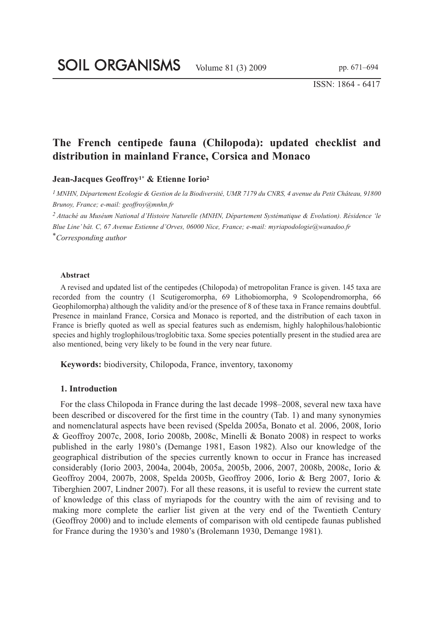ISSN: 1864 - 6417

# **The French centipede fauna (Chilopoda): updated checklist and distribution in mainland France, Corsica and Monaco**

**Jean-Jacques Geoffroy1\* & Etienne Iorio<sup>2</sup>**

*1 MNHN, Département Ecologie & Gestion de la Biodiversité, UMR 7179 du CNRS, 4 avenue du Petit Château, 91800 Brunoy, France; e-mail: geoffroy@mnhn.fr*

*2 Attaché au Muséum National d'Histoire Naturelle (MNHN, Département Systématique & Evolution). Résidence 'le Blue Line' bât. C, 67 Avenue Estienne d'Orves, 06000 Nice, France; e-mail: myriapodologie@wanadoo.fr \*Corresponding author*

#### **Abstract**

A revised and updated list of the centipedes (Chilopoda) of metropolitan France is given. 145 taxa are recorded from the country (1 Scutigeromorpha, 69 Lithobiomorpha, 9 Scolopendromorpha, 66 Geophilomorpha) although the validity and/or the presence of 8 of these taxa in France remains doubtful. Presence in mainland France, Corsica and Monaco is reported, and the distribution of each taxon in France is briefly quoted as well as special features such as endemism, highly halophilous/halobiontic species and highly troglophilous/troglobitic taxa. Some species potentially present in the studied area are also mentioned, being very likely to be found in the very near future.

**Keywords:** biodiversity, Chilopoda, France, inventory, taxonomy

#### **1. Introduction**

For the class Chilopoda in France during the last decade 1998–2008, several new taxa have been described or discovered for the first time in the country (Tab. 1) and many synonymies and nomenclatural aspects have been revised (Spelda 2005a, Bonato et al. 2006, 2008, Iorio & Geoffroy 2007c, 2008, Iorio 2008b, 2008c, Minelli & Bonato 2008) in respect to works published in the early 1980's (Demange 1981, Eason 1982). Also our knowledge of the geographical distribution of the species currently known to occur in France has increased considerably (Iorio 2003, 2004a, 2004b, 2005a, 2005b, 2006, 2007, 2008b, 2008c, Iorio & Geoffroy 2004, 2007b, 2008, Spelda 2005b, Geoffroy 2006, Iorio & Berg 2007, Iorio & Tiberghien 2007, Lindner 2007). For all these reasons, it is useful to review the current state of knowledge of this class of myriapods for the country with the aim of revising and to making more complete the earlier list given at the very end of the Twentieth Century (Geoffroy 2000) and to include elements of comparison with old centipede faunas published for France during the 1930's and 1980's (Brolemann 1930, Demange 1981).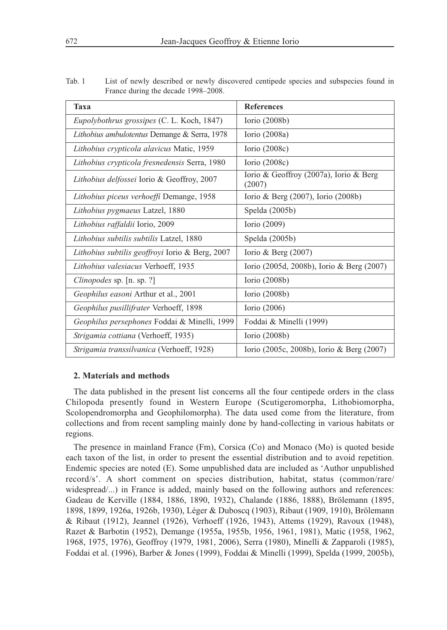| Tab. 1 | List of newly described or newly discovered centipede species and subspecies found in |
|--------|---------------------------------------------------------------------------------------|
|        | France during the decade 1998–2008.                                                   |

| Taxa                                                | <b>References</b>                                |
|-----------------------------------------------------|--------------------------------------------------|
| <i>Eupolybothrus grossipes</i> (C. L. Koch, 1847)   | Iorio $(2008b)$                                  |
| Lithobius ambulotentus Demange & Serra, 1978        | Iorio (2008a)                                    |
| Lithobius crypticola alavicus Matic, 1959           | Iorio $(2008c)$                                  |
| Lithobius crypticola fresnedensis Serra, 1980       | Iorio $(2008c)$                                  |
| Lithobius delfossei Iorio & Geoffroy, 2007          | Iorio & Geoffroy (2007a), Iorio & Berg<br>(2007) |
| Lithobius piceus verhoeffi Demange, 1958            | Iorio & Berg $(2007)$ , Iorio $(2008b)$          |
| Lithobius pygmaeus Latzel, 1880                     | Spelda (2005b)                                   |
| Lithobius raffaldii Iorio, 2009                     | Iorio (2009)                                     |
| Lithobius subtilis subtilis Latzel, 1880            | Spelda $(2005b)$                                 |
| Lithobius subtilis geoffroyi Iorio & Berg, 2007     | Iorio & Berg $(2007)$                            |
| Lithobius valesiacus Verhoeff, 1935                 | Iorio (2005d, 2008b), Iorio & Berg (2007)        |
| Clinopodes sp. [n. sp. ?]                           | Iorio $(2008b)$                                  |
| Geophilus easoni Arthur et al., 2001                | Iorio $(2008b)$                                  |
| Geophilus pusillifrater Verhoeff, 1898              | Iorio (2006)                                     |
| <i>Geophilus persephones</i> Foddai & Minelli, 1999 | Foddai & Minelli (1999)                          |
| <i>Strigamia cottiana</i> (Verhoeff, 1935)          | Iorio $(2008b)$                                  |
| Strigamia transsilvanica (Verhoeff, 1928)           | Iorio (2005c, 2008b), Iorio & Berg (2007)        |

#### **2. Materials and methods**

The data published in the present list concerns all the four centipede orders in the class Chilopoda presently found in Western Europe (Scutigeromorpha, Lithobiomorpha, Scolopendromorpha and Geophilomorpha). The data used come from the literature, from collections and from recent sampling mainly done by hand-collecting in various habitats or regions.

The presence in mainland France (Fm), Corsica (Co) and Monaco (Mo) is quoted beside each taxon of the list, in order to present the essential distribution and to avoid repetition. Endemic species are noted (E). Some unpublished data are included as 'Author unpublished record/s'. A short comment on species distribution, habitat, status (common/rare/ widespread...) in France is added, mainly based on the following authors and references: Gadeau de Kerville (1884, 1886, 1890, 1932), Chalande (1886, 1888), Brölemann (1895, 1898, 1899, 1926a, 1926b, 1930), Léger & Duboscq (1903), Ribaut (1909, 1910), Brölemann & Ribaut (1912), Jeannel (1926), Verhoeff (1926, 1943), Attems (1929), Ravoux (1948), Razet & Barbotin (1952), Demange (1955a, 1955b, 1956, 1961, 1981), Matic (1958, 1962, 1968, 1975, 1976), Geoffroy (1979, 1981, 2006), Serra (1980), Minelli & Zapparoli (1985), Foddai et al. (1996), Barber & Jones (1999), Foddai & Minelli (1999), Spelda (1999, 2005b),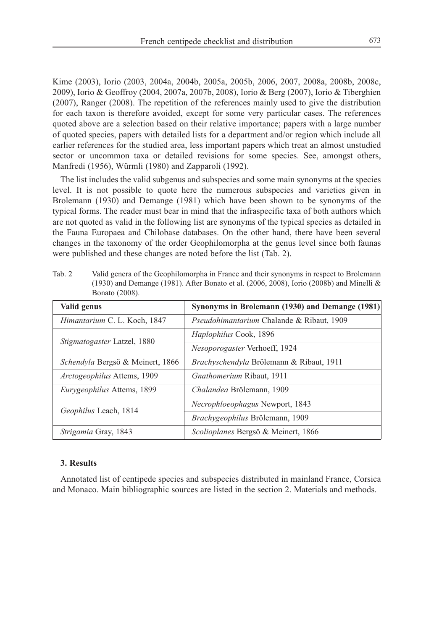Kime (2003), Iorio (2003, 2004a, 2004b, 2005a, 2005b, 2006, 2007, 2008a, 2008b, 2008c, 2009), Iorio & Geoffroy (2004, 2007a, 2007b, 2008), Iorio & Berg (2007), Iorio & Tiberghien (2007), Ranger (2008). The repetition of the references mainly used to give the distribution for each taxon is therefore avoided, except for some very particular cases. The references quoted above are a selection based on their relative importance; papers with a large number of quoted species, papers with detailed lists for a department and/or region which include all earlier references for the studied area, less important papers which treat an almost unstudied sector or uncommon taxa or detailed revisions for some species. See, amongst others, Manfredi (1956), Würmli (1980) and Zapparoli (1992).

The list includes the valid subgenus and subspecies and some main synonyms at the species level. It is not possible to quote here the numerous subspecies and varieties given in Brolemann (1930) and Demange (1981) which have been shown to be synonyms of the typical forms. The reader must bear in mind that the infraspecific taxa of both authors which are not quoted as valid in the following list are synonyms of the typical species as detailed in the Fauna Europaea and Chilobase databases. On the other hand, there have been several changes in the taxonomy of the order Geophilomorpha at the genus level since both faunas were published and these changes are noted before the list (Tab. 2).

Tab. 2 Valid genera of the Geophilomorpha in France and their synonyms in respect to Brolemann (1930) and Demange (1981). After Bonato et al. (2006, 2008), Iorio (2008b) and Minelli & Bonato (2008).

| Valid genus                        | Synonyms in Brolemann (1930) and Demange (1981) |
|------------------------------------|-------------------------------------------------|
| Himantarium C. L. Koch, 1847       | Pseudohimantarium Chalande & Ribaut, 1909       |
| Stigmatogaster Latzel, 1880        | Haplophilus Cook, 1896                          |
|                                    | Nesoporogaster Verhoeff, 1924                   |
| Schendyla Bergsö & Meinert, 1866   | Brachyschendyla Brölemann & Ribaut, 1911        |
| <i>Arctogeophilus</i> Attems, 1909 | <i>Gnathomerium Ribaut, 1911</i>                |
| Eurygeophilus Attems, 1899         | Chalandea Brölemann, 1909                       |
| Geophilus Leach, 1814              | Necrophloeophagus Newport, 1843                 |
|                                    | Brachygeophilus Brölemann, 1909                 |
| <i>Strigamia Gray, 1843</i>        | Scolioplanes Bergsö & Meinert, 1866             |

#### **3. Results**

Annotated list of centipede species and subspecies distributed in mainland France, Corsica and Monaco. Main bibliographic sources are listed in the section 2. Materials and methods.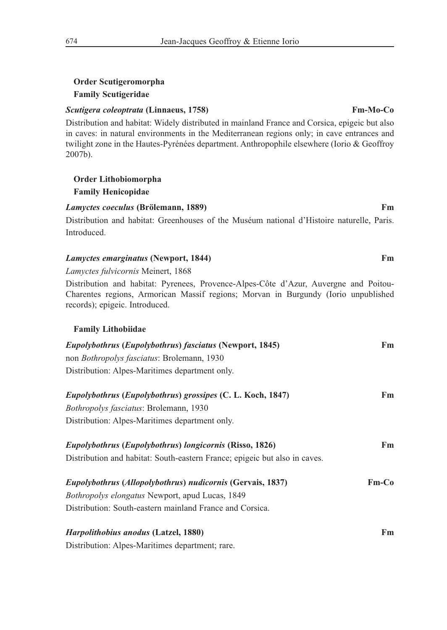# **Order Scutigeromorpha Family Scutigeridae**

### *Scutigera coleoptrata* **(Linnaeus, 1758) Fm-Mo-Co**

Distribution and habitat: Widely distributed in mainland France and Corsica, epigeic but also in caves: in natural environments in the Mediterranean regions only; in cave entrances and twilight zone in the Hautes-Pyrénées department. Anthropophile elsewhere (Iorio & Geoffroy 2007b).

# **Order Lithobiomorpha**

# **Family Henicopidae**

### *Lamyctes coeculus* **(Brölemann, 1889) Fm**

Distribution and habitat: Greenhouses of the Muséum national d'Histoire naturelle, Paris. Introduced.

# *Lamyctes emarginatus* **(Newport, 1844) Fm**

*Lamyctes fulvicornis* Meinert, 1868

Distribution and habitat: Pyrenees, Provence-Alpes-Côte d'Azur, Auvergne and Poitou-Charentes regions, Armorican Massif regions; Morvan in Burgundy (Iorio unpublished records); epigeic. Introduced.

### **Family Lithobiidae**

| <i>Eupolybothrus (Eupolybothrus) fasciatus (Newport, 1845)</i>             | Fm      |
|----------------------------------------------------------------------------|---------|
| non <i>Bothropolys fasciatus</i> : Brolemann, 1930                         |         |
| Distribution: Alpes-Maritimes department only.                             |         |
| <i>Eupolybothrus (Eupolybothrus) grossipes (C. L. Koch, 1847)</i>          | Fm      |
| Bothropolys fasciatus: Brolemann, 1930                                     |         |
| Distribution: Alpes-Maritimes department only.                             |         |
| Eupolybothrus (Eupolybothrus) longicornis (Risso, 1826)                    | Fm      |
| Distribution and habitat: South-eastern France; epigeic but also in caves. |         |
| <i>Eupolybothrus (Allopolybothrus) nudicornis (Gervais, 1837)</i>          | $Fm-Co$ |
| <i>Bothropolys elongatus</i> Newport, apud Lucas, 1849                     |         |
| Distribution: South-eastern mainland France and Corsica.                   |         |
| <i>Harpolithobius anodus</i> (Latzel, 1880)                                | Fm      |
| Distribution: Alpes-Maritimes department; rare.                            |         |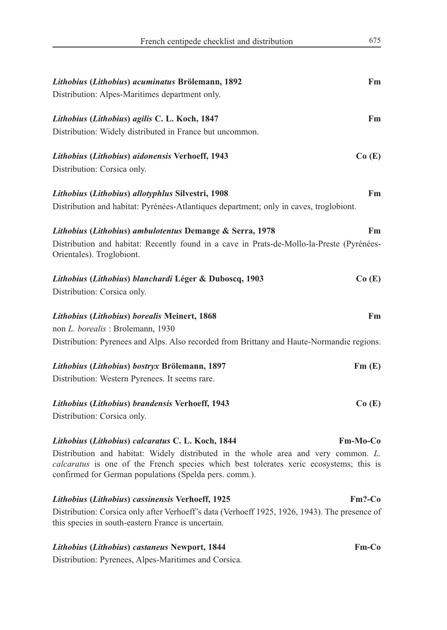| French centipede checklist and distribution                                                                                                         | 675             |
|-----------------------------------------------------------------------------------------------------------------------------------------------------|-----------------|
|                                                                                                                                                     |                 |
| Lithobius (Lithobius) acuminatus Brölemann, 1892                                                                                                    | Fm              |
| Distribution: Alpes-Maritimes department only.                                                                                                      |                 |
| Lithobius (Lithobius) agilis C. L. Koch, 1847                                                                                                       | Fm              |
| Distribution: Widely distributed in France but uncommon.                                                                                            |                 |
| Lithobius (Lithobius) aidonensis Verhoeff, 1943                                                                                                     | Co(E)           |
| Distribution: Corsica only.                                                                                                                         |                 |
| Lithobius (Lithobius) allotyphlus Silvestri, 1908                                                                                                   | Fm              |
| Distribution and habitat: Pyrénées-Atlantiques department; only in caves, troglobiont.                                                              |                 |
| Lithobius (Lithobius) ambulotentus Demange & Serra, 1978                                                                                            | Fm.             |
| Distribution and habitat: Recently found in a cave in Prats-de-Mollo-la-Preste (Pyrénées-<br>Orientales). Troglobiont.                              |                 |
| Lithobius (Lithobius) blanchardi Léger & Duboscq, 1903                                                                                              | Co(E)           |
| Distribution: Corsica only.                                                                                                                         |                 |
| Lithobius (Lithobius) borealis Meinert, 1868                                                                                                        | Fm              |
| non L. borealis: Brolemann, 1930                                                                                                                    |                 |
| Distribution: Pyrenees and Alps. Also recorded from Brittany and Haute-Normandie regions.                                                           |                 |
| Lithobius (Lithobius) bostryx Brölemann, 1897                                                                                                       | Fm(E)           |
| Distribution: Western Pyrenees. It seems rare.                                                                                                      |                 |
| Lithobius (Lithobius) brandensis Verhoeff, 1943                                                                                                     | Co(E)           |
| Distribution: Corsica only.                                                                                                                         |                 |
| Lithobius (Lithobius) calcaratus C. L. Koch, 1844                                                                                                   | <b>Fm-Mo-Co</b> |
| Distribution and habitat: Widely distributed in the whole area and very common. L.                                                                  |                 |
| calcaratus is one of the French species which best tolerates xeric ecosystems; this is<br>confirmed for German populations (Spelda pers. comm.).    |                 |
| Lithobius (Lithobius) cassinensis Verhoeff, 1925                                                                                                    | $Fm?$ -Co       |
| Distribution: Corsica only after Verhoeff's data (Verhoeff 1925, 1926, 1943). The presence of<br>this species in south-eastern France is uncertain. |                 |
| Lithobius (Lithobius) castaneus Newport, 1844                                                                                                       | $Fm-Co$         |

Distribution: Pyrenees, Alpes-Maritimes and Corsica.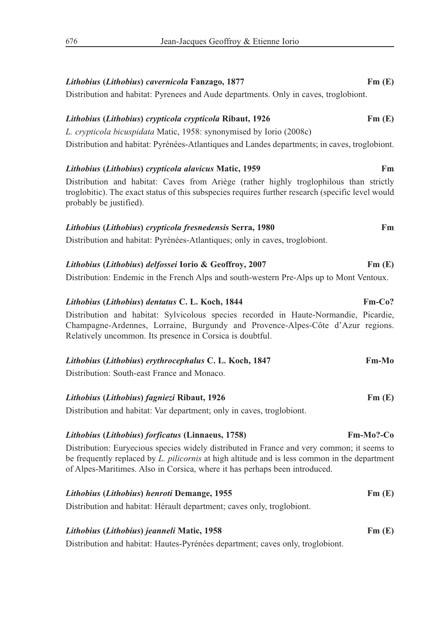| Lithobius (Lithobius) cavernicola Fanzago, 1877                                                                                                                                                                                                                           | Fm(E)        |
|---------------------------------------------------------------------------------------------------------------------------------------------------------------------------------------------------------------------------------------------------------------------------|--------------|
| Distribution and habitat: Pyrenees and Aude departments. Only in caves, troglobiont.                                                                                                                                                                                      |              |
| Lithobius (Lithobius) crypticola crypticola Ribaut, 1926                                                                                                                                                                                                                  | Fm(E)        |
| L. crypticola bicuspidata Matic, 1958: synonymised by Iorio (2008c)                                                                                                                                                                                                       |              |
| Distribution and habitat: Pyrénées-Atlantiques and Landes departments; in caves, troglobiont.                                                                                                                                                                             |              |
| Lithobius (Lithobius) crypticola alavicus Matic, 1959                                                                                                                                                                                                                     | Fm           |
| Distribution and habitat: Caves from Ariège (rather highly troglophilous than strictly<br>troglobitic). The exact status of this subspecies requires further research (specific level would<br>probably be justified).                                                    |              |
| Lithobius (Lithobius) crypticola fresnedensis Serra, 1980                                                                                                                                                                                                                 | Fm.          |
| Distribution and habitat: Pyrénées-Atlantiques; only in caves, troglobiont.                                                                                                                                                                                               |              |
| Lithobius (Lithobius) delfossei Iorio & Geoffroy, 2007                                                                                                                                                                                                                    | Fm(E)        |
| Distribution: Endemic in the French Alps and south-western Pre-Alps up to Mont Ventoux.                                                                                                                                                                                   |              |
| Lithobius (Lithobius) dentatus C. L. Koch, 1844                                                                                                                                                                                                                           | $Fm-Co?$     |
| Distribution and habitat: Sylvicolous species recorded in Haute-Normandie, Picardie,<br>Champagne-Ardennes, Lorraine, Burgundy and Provence-Alpes-Côte d'Azur regions.<br>Relatively uncommon. Its presence in Corsica is doubtful.                                       |              |
| Lithobius (Lithobius) erythrocephalus C. L. Koch, 1847                                                                                                                                                                                                                    | Fm-Mo        |
| Distribution: South-east France and Monaco.                                                                                                                                                                                                                               |              |
| Lithobius (Lithobius) fagniezi Ribaut, 1926                                                                                                                                                                                                                               | Fm(E)        |
| Distribution and habitat: Var department; only in caves, troglobiont.                                                                                                                                                                                                     |              |
| <i>Lithobius (Lithobius) forficatus (Linnaeus, 1758)</i>                                                                                                                                                                                                                  | $Fm-Mo?$ -Co |
| Distribution: Euryecious species widely distributed in France and very common; it seems to<br>be frequently replaced by L. pilicornis at high altitude and is less common in the department<br>of Alpes-Maritimes. Also in Corsica, where it has perhaps been introduced. |              |
| Lithobius (Lithobius) henroti Demange, 1955                                                                                                                                                                                                                               | Fm(E)        |
| Distribution and habitat: Hérault department; caves only, troglobiont.                                                                                                                                                                                                    |              |
| Lithobius (Lithobius) jeanneli Matic, 1958                                                                                                                                                                                                                                | Fm(E)        |
| Distribution and habitat: Hautes-Pyrénées department; caves only, troglobiont.                                                                                                                                                                                            |              |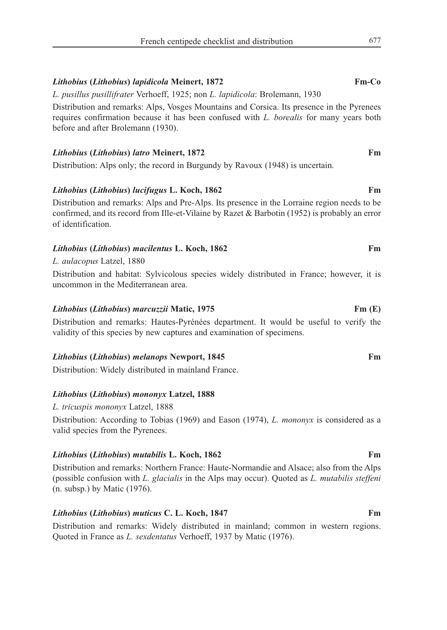### *Lithobius* **(***Lithobius***)** *lapidicola* **Meinert, 1872 Fm-Co**

*L. pusillus pusillifrater* Verhoeff, 1925; non *L. lapidicola*: Brolemann, 1930

Distribution and remarks: Alps, Vosges Mountains and Corsica. Its presence in the Pyrenees requires confirmation because it has been confused with *L. borealis* for many years both before and after Brolemann (1930).

### *Lithobius* **(***Lithobius***)** *latro* **Meinert, 1872 Fm**

Distribution: Alps only; the record in Burgundy by Ravoux (1948) is uncertain.

### *Lithobius* **(***Lithobius***)** *lucifugus* **L. Koch, 1862 Fm**

Distribution and remarks: Alps and Pre-Alps. Its presence in the Lorraine region needs to be confirmed, and its record from Ille-et-Vilaine by Razet & Barbotin (1952) is probably an error of identification.

# *Lithobius* **(***Lithobius***)** *macilentus* **L. Koch, 1862 Fm**

*L. aulacopus* Latzel, 1880

Distribution and habitat: Sylvicolous species widely distributed in France; however, it is uncommon in the Mediterranean area.

### *Lithobius* **(***Lithobius***)** *marcuzzii* **Matic, 1975 Fm (E)**

Distribution and remarks: Hautes-Pyrénées department. It would be useful to verify the validity of this species by new captures and examination of specimens.

### *Lithobius* **(***Lithobius***)** *melanops* **Newport, 1845 Fm**

Distribution: Widely distributed in mainland France.

### *Lithobius* **(***Lithobius***)** *mononyx* **Latzel, 1888**

*L. tricuspis mononyx* Latzel, 1888

Distribution: According to Tobias (1969) and Eason (1974), *L. mononyx* is considered as a valid species from the Pyrenees.

### *Lithobius* **(***Lithobius***)** *mutabilis* **L. Koch, 1862 Fm**

Distribution and remarks: Northern France: Haute-Normandie and Alsace; also from the Alps (possible confusion with *L. glacialis* in the Alps may occur). Quoted as *L. mutabilis steffeni* (n. subsp.) by Matic (1976).

# *Lithobius* **(***Lithobius***)** *muticus* **C. L. Koch, 1847 Fm**

Distribution and remarks: Widely distributed in mainland; common in western regions. Quoted in France as *L. sexdentatus* Verhoeff, 1937 by Matic (1976).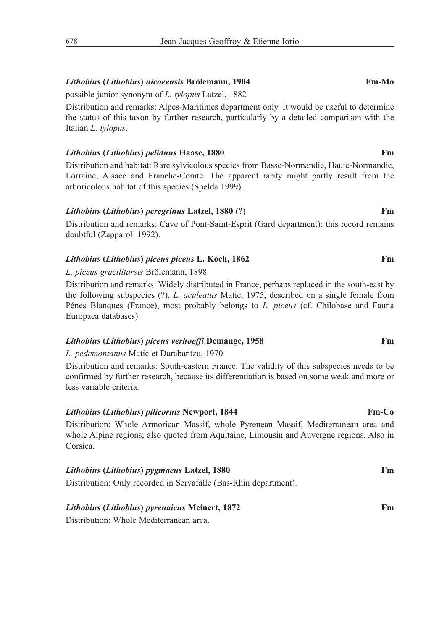# *Lithobius* **(***Lithobius***)** *nicoeensis* **Brölemann, 1904 Fm-Mo**

possible junior synonym of *L. tylopus* Latzel, 1882

Distribution and remarks: Alpes-Maritimes department only. It would be useful to determine the status of this taxon by further research, particularly by a detailed comparison with the Italian *L. tylopus*.

# *Lithobius* **(***Lithobius***)** *pelidnus* **Haase, 1880 Fm**

Distribution and habitat: Rare sylvicolous species from Basse-Normandie, Haute-Normandie, Lorraine, Alsace and Franche-Comté. The apparent rarity might partly result from the arboricolous habitat of this species (Spelda 1999).

# *Lithobius* **(***Lithobius***)** *peregrinus* **Latzel, 1880 (?) Fm**

Distribution and remarks: Cave of Pont-Saint-Esprit (Gard department); this record remains doubtful (Zapparoli 1992).

# *Lithobius* **(***Lithobius***)** *piceus piceus* **L. Koch, 1862 Fm**

# *L. piceus gracilitarsis* Brölemann, 1898

Distribution and remarks: Widely distributed in France, perhaps replaced in the south-east by the following subspecies (?). *L. aculeatus* Matic, 1975, described on a single female from Pénes Blanques (France), most probably belongs to *L. piceus* (cf. Chilobase and Fauna Europaea databases).

# *Lithobius* **(***Lithobius***)** *piceus verhoeffi* **Demange, 1958 Fm**

*L. pedemontanus* Matic et Darabantzu, 1970

Distribution and remarks: South-eastern France. The validity of this subspecies needs to be confirmed by further research, because its differentiation is based on some weak and more or less variable criteria.

# *Lithobius* **(***Lithobius***)** *pilicornis* **Newport, 1844 Fm-Co**

Distribution: Whole Armorican Massif, whole Pyrenean Massif, Mediterranean area and whole Alpine regions; also quoted from Aquitaine, Limousin and Auvergne regions. Also in Corsica.

| Lithobius (Lithobius) pygmaeus Latzel, 1880                      | Fm |
|------------------------------------------------------------------|----|
| Distribution: Only recorded in Servafälle (Bas-Rhin department). |    |

### *Lithobius* **(***Lithobius***)** *pyrenaicus* **Meinert, 1872 Fm**

Distribution: Whole Mediterranean area.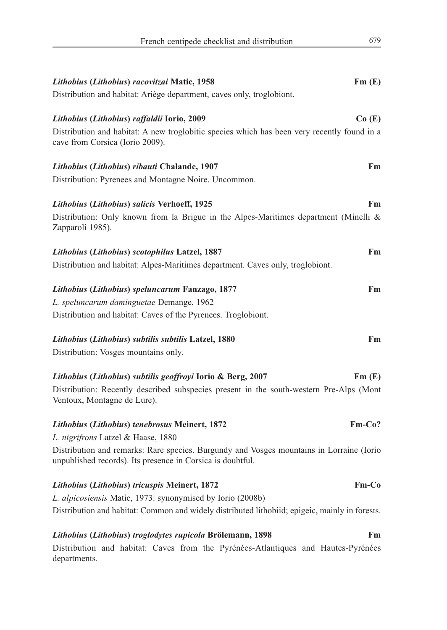| Lithobius (Lithobius) racovitzai Matic, 1958                                                                                                           | Fm(E)        |
|--------------------------------------------------------------------------------------------------------------------------------------------------------|--------------|
| Distribution and habitat: Ariège department, caves only, troglobiont.                                                                                  |              |
| Lithobius (Lithobius) raffaldii Iorio, 2009                                                                                                            | Co(E)        |
| Distribution and habitat: A new troglobitic species which has been very recently found in a<br>cave from Corsica (Iorio 2009).                         |              |
| Lithobius (Lithobius) ribauti Chalande, 1907                                                                                                           | Fm           |
| Distribution: Pyrenees and Montagne Noire. Uncommon.                                                                                                   |              |
| Lithobius (Lithobius) salicis Verhoeff, 1925                                                                                                           | Fm           |
| Distribution: Only known from la Brigue in the Alpes-Maritimes department (Minelli &<br>Zapparoli 1985).                                               |              |
| Lithobius (Lithobius) scotophilus Latzel, 1887                                                                                                         | Fm           |
| Distribution and habitat: Alpes-Maritimes department. Caves only, troglobiont.                                                                         |              |
| Lithobius (Lithobius) speluncarum Fanzago, 1877                                                                                                        | Fm           |
| L. speluncarum daminguetae Demange, 1962                                                                                                               |              |
| Distribution and habitat: Caves of the Pyrenees. Troglobiont.                                                                                          |              |
| Lithobius (Lithobius) subtilis subtilis Latzel, 1880                                                                                                   | Fm           |
| Distribution: Vosges mountains only.                                                                                                                   |              |
| Lithobius (Lithobius) subtilis geoffroyi Iorio & Berg, 2007                                                                                            | Fm(E)        |
| Distribution: Recently described subspecies present in the south-western Pre-Alps (Mont<br>Ventoux, Montagne de Lure).                                 |              |
| Lithobius (Lithobius) tenebrosus Meinert, 1872                                                                                                         | Fm-Co?       |
| L. nigrifrons Latzel & Haase, 1880                                                                                                                     |              |
| Distribution and remarks: Rare species. Burgundy and Vosges mountains in Lorraine (Iorio<br>unpublished records). Its presence in Corsica is doubtful. |              |
| Lithobius (Lithobius) tricuspis Meinert, 1872                                                                                                          | <b>Fm-Co</b> |
| L. alpicosiensis Matic, 1973: synonymised by Iorio (2008b)                                                                                             |              |
| Distribution and habitat: Common and widely distributed lithobiid; epigeic, mainly in forests.                                                         |              |
| Lithobius (Lithobius) troglodytes rupicola Brölemann, 1898                                                                                             | Fm           |
| Distribution and habitat: Caves from the Pyrénées-Atlantiques and Hautes-Pyrénées<br>departments.                                                      |              |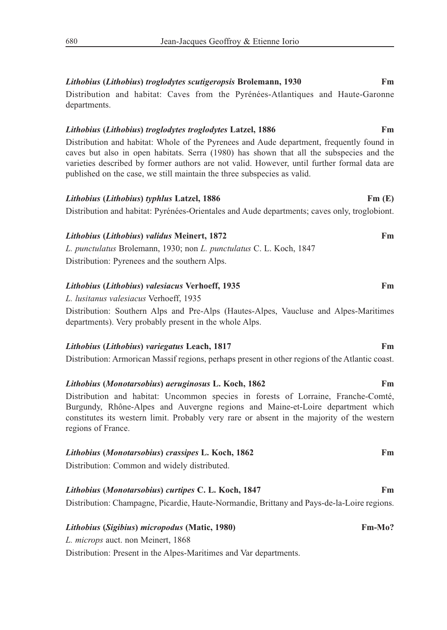# *Lithobius* **(***Lithobius***)** *troglodytes scutigeropsis* **Brolemann, 1930 Fm** Distribution and habitat: Caves from the Pyrénées-Atlantiques and Haute-Garonne

departments.

# *Lithobius* **(***Lithobius***)** *troglodytes troglodytes* **Latzel, 1886 Fm**

Distribution and habitat: Whole of the Pyrenees and Aude department, frequently found in caves but also in open habitats. Serra (1980) has shown that all the subspecies and the varieties described by former authors are not valid. However, until further formal data are published on the case, we still maintain the three subspecies as valid.

# *Lithobius* **(***Lithobius***)** *typhlus* **Latzel, 1886 Fm (E)**

Distribution and habitat: Pyrénées-Orientales and Aude departments; caves only, troglobiont.

# *Lithobius* **(***Lithobius***)** *validus* **Meinert, 1872 Fm** *L. punctulatus* Brolemann, 1930; non *L. punctulatus* C. L. Koch, 1847 Distribution: Pyrenees and the southern Alps.

# *Lithobius* **(***Lithobius***)** *valesiacus* **Verhoeff, 1935 Fm**

*L. lusitanus valesiacus* Verhoeff, 1935

Distribution: Southern Alps and Pre-Alps (Hautes-Alpes, Vaucluse and Alpes-Maritimes departments). Very probably present in the whole Alps.

# *Lithobius* **(***Lithobius***)** *variegatus* **Leach, 1817 Fm**

Distribution: Armorican Massif regions, perhaps present in other regions of the Atlantic coast.

# *Lithobius* **(***Monotarsobius***)** *aeruginosus* **L. Koch, 1862 Fm**

Distribution and habitat: Uncommon species in forests of Lorraine, Franche-Comté, Burgundy, Rhône-Alpes and Auvergne regions and Maine-et-Loire department which constitutes its western limit. Probably very rare or absent in the majority of the western regions of France.

# *Lithobius* **(***Monotarsobius***)** *crassipes* **L. Koch, 1862 Fm**

Distribution: Common and widely distributed.

# *Lithobius* **(***Monotarsobius***)** *curtipes* **C. L. Koch, 1847 Fm** Distribution: Champagne, Picardie, Haute-Normandie, Brittany and Pays-de-la-Loire regions.

# *Lithobius* **(***Sigibius***)** *micropodus* **(Matic, 1980) Fm-Mo?**

*L. microps* auct. non Meinert, 1868

Distribution: Present in the Alpes-Maritimes and Var departments.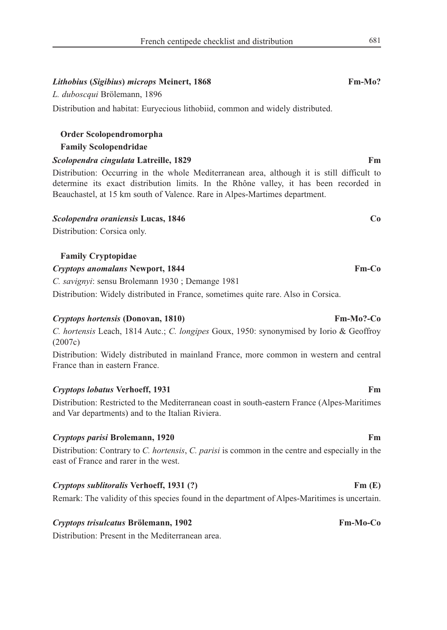### *Lithobius* **(***Sigibius***)** *microps* **Meinert, 1868 Fm-Mo?**

### *L. duboscqui* Brölemann, 1896

Distribution and habitat: Euryecious lithobiid, common and widely distributed.

# **Order Scolopendromorpha Family Scolopendridae**

*Scolopendra cingulata* **Latreille, 1829 Fm**

Distribution: Occurring in the whole Mediterranean area, although it is still difficult to determine its exact distribution limits. In the Rhône valley, it has been recorded in Beauchastel, at 15 km south of Valence. Rare in Alpes-Martimes department.

### *Scolopendra oraniensis* **Lucas, 1846 Co**

Distribution: Corsica only.

### **Family Cryptopidae**

#### *Cryptops anomalans* **Newport, 1844 Fm-Co**

*C. savignyi*: sensu Brolemann 1930 ; Demange 1981

Distribution: Widely distributed in France, sometimes quite rare. Also in Corsica.

### *Cryptops hortensis* **(Donovan, 1810) Fm-Mo?-Co**

*C. hortensis* Leach, 1814 Autc.; *C. longipes* Goux, 1950: synonymised by Iorio & Geoffroy (2007c)

Distribution: Widely distributed in mainland France, more common in western and central France than in eastern France.

### *Cryptops lobatus* Verhoeff, 1931 **Fm**

Distribution: Restricted to the Mediterranean coast in south-eastern France (Alpes-Maritimes and Var departments) and to the Italian Riviera.

### *Cryptops parisi* **Brolemann, 1920** Fm

Distribution: Contrary to *C. hortensis*, *C. parisi* is common in the centre and especially in the east of France and rarer in the west.

### *Cryptops sublitoralis* **Verhoeff, 1931 (?) Fm (E)**

Remark: The validity of this species found in the department of Alpes-Maritimes is uncertain.

### *Cryptops trisulcatus* **Brölemann, 1902 Fm-Mo-Co**

Distribution: Present in the Mediterranean area.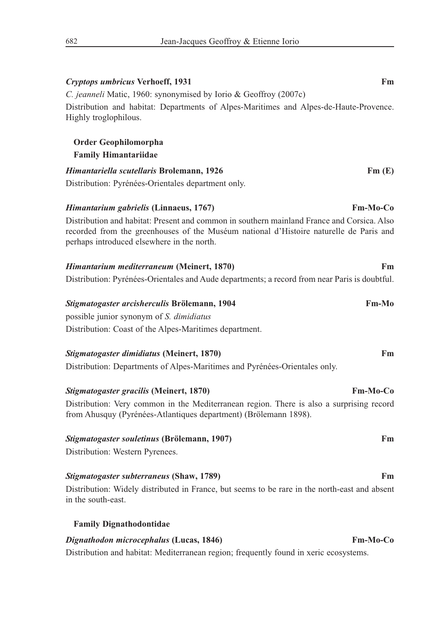| Fm<br>Cryptops umbricus Verhoeff, 1931                                                                                                                                                                                             |  |
|------------------------------------------------------------------------------------------------------------------------------------------------------------------------------------------------------------------------------------|--|
| C. jeanneli Matic, 1960: synonymised by Iorio & Geoffroy (2007c)<br>Distribution and habitat: Departments of Alpes-Maritimes and Alpes-de-Haute-Provence.<br>Highly troglophilous.                                                 |  |
| Order Geophilomorpha<br><b>Family Himantariidae</b>                                                                                                                                                                                |  |
| Himantariella scutellaris Brolemann, 1926<br>Fm(E)                                                                                                                                                                                 |  |
| Distribution: Pyrénées-Orientales department only.                                                                                                                                                                                 |  |
| <b>Fm-Mo-Co</b><br><i>Himantarium gabrielis</i> (Linnaeus, 1767)                                                                                                                                                                   |  |
| Distribution and habitat: Present and common in southern mainland France and Corsica. Also<br>recorded from the greenhouses of the Muséum national d'Histoire naturelle de Paris and<br>perhaps introduced elsewhere in the north. |  |
| Himantarium mediterraneum (Meinert, 1870)<br>Fm.                                                                                                                                                                                   |  |
| Distribution: Pyrénées-Orientales and Aude departments; a record from near Paris is doubtful.                                                                                                                                      |  |
| Stigmatogaster arcisherculis Brölemann, 1904<br>Fm-Mo                                                                                                                                                                              |  |
| possible junior synonym of S. dimidiatus                                                                                                                                                                                           |  |
| Distribution: Coast of the Alpes-Maritimes department.                                                                                                                                                                             |  |
| Fm<br>Stigmatogaster dimidiatus (Meinert, 1870)                                                                                                                                                                                    |  |
| Distribution: Departments of Alpes-Maritimes and Pyrénées-Orientales only.                                                                                                                                                         |  |
| <b>Fm-Mo-Co</b><br>Stigmatogaster gracilis (Meinert, 1870)                                                                                                                                                                         |  |
| Distribution: Very common in the Mediterranean region. There is also a surprising record<br>from Ahusquy (Pyrénées-Atlantiques department) (Brölemann 1898).                                                                       |  |
| Fm<br>Stigmatogaster souletinus (Brölemann, 1907)                                                                                                                                                                                  |  |
| Distribution: Western Pyrenees.                                                                                                                                                                                                    |  |
| Stigmatogaster subterraneus (Shaw, 1789)<br>Fm                                                                                                                                                                                     |  |
| Distribution: Widely distributed in France, but seems to be rare in the north-east and absent<br>in the south-east.                                                                                                                |  |
| <b>Family Dignathodontidae</b>                                                                                                                                                                                                     |  |
| Dignathodon microcephalus (Lucas, 1846)<br>Fm-Mo-Co                                                                                                                                                                                |  |
| Distribution and habitat: Mediterranean region; frequently found in xeric ecosystems.                                                                                                                                              |  |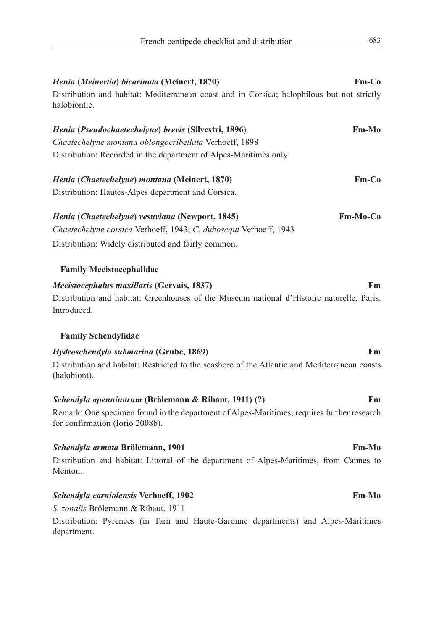| Henia (Meinertia) bicarinata (Meinert, 1870)                                                                                  | $Fm-Co$         |
|-------------------------------------------------------------------------------------------------------------------------------|-----------------|
| Distribution and habitat: Mediterranean coast and in Corsica; halophilous but not strictly<br>halobiontic.                    |                 |
| Henia (Pseudochaetechelyne) brevis (Silvestri, 1896)                                                                          | <b>Fm-Mo</b>    |
| Chaetechelyne montana oblongocribellata Verhoeff, 1898                                                                        |                 |
| Distribution: Recorded in the department of Alpes-Maritimes only.                                                             |                 |
| Henia (Chaetechelyne) montana (Meinert, 1870)                                                                                 | $Fm-Co$         |
| Distribution: Hautes-Alpes department and Corsica.                                                                            |                 |
| Henia (Chaetechelyne) vesuviana (Newport, 1845)                                                                               | <b>Fm-Mo-Co</b> |
| Chaetechelyne corsica Verhoeff, 1943; C. duboscqui Verhoeff, 1943                                                             |                 |
| Distribution: Widely distributed and fairly common.                                                                           |                 |
| <b>Family Mecistocephalidae</b>                                                                                               |                 |
| Mecistocephalus maxillaris (Gervais, 1837)                                                                                    | Fm              |
| Distribution and habitat: Greenhouses of the Muséum national d'Histoire naturelle, Paris.<br>Introduced.                      |                 |
| <b>Family Schendylidae</b>                                                                                                    |                 |
| <i>Hydroschendyla submarina</i> (Grube, 1869)                                                                                 | Fm              |
| Distribution and habitat: Restricted to the seashore of the Atlantic and Mediterranean coasts<br>(halobiont).                 |                 |
| Schendyla apenninorum (Brölemann & Ribaut, 1911) (?)                                                                          | Fm              |
| Remark: One specimen found in the department of Alpes-Maritimes; requires further research<br>for confirmation (Iorio 2008b). |                 |
| Schendyla armata Brölemann, 1901                                                                                              | <b>Fm-Mo</b>    |
| Distribution and habitat: Littoral of the department of Alpes-Maritimes, from Cannes to<br>Menton.                            |                 |
| Schendyla carniolensis Verhoeff, 1902                                                                                         | <b>Fm-Mo</b>    |
| S. zonalis Brölemann & Ribaut, 1911                                                                                           |                 |
|                                                                                                                               |                 |

Distribution: Pyrenees (in Tarn and Haute-Garonne departments) and Alpes-Maritimes department.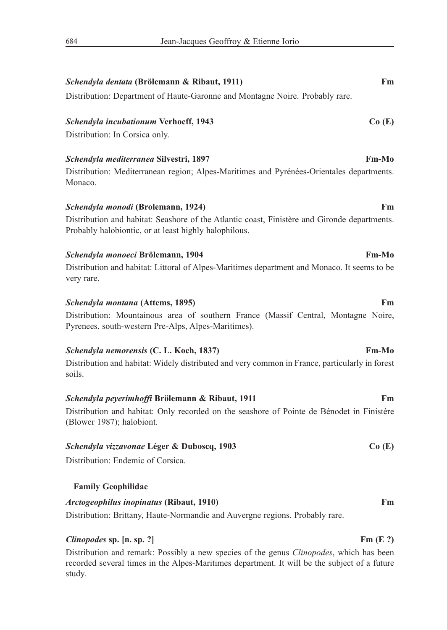# *Schendyla dentata* **(Brölemann & Ribaut, 1911) Fm** Distribution: Department of Haute-Garonne and Montagne Noire. Probably rare. *Schendyla incubationum* **Verhoeff, 1943 Co (E)** Distribution: In Corsica only. *Schendyla mediterranea* **Silvestri, 1897 Fm-Mo** Distribution: Mediterranean region; Alpes-Maritimes and Pyrénées-Orientales departments. Monaco. *Schendyla monodi* **(Brolemann, 1924) Fm** Distribution and habitat: Seashore of the Atlantic coast, Finistère and Gironde departments. Probably halobiontic, or at least highly halophilous. *Schendyla monoeci* **Brölemann, 1904 Fm-Mo** Distribution and habitat: Littoral of Alpes-Maritimes department and Monaco. It seems to be very rare. *Schendyla montana* **(Attems, 1895) Fm** Distribution: Mountainous area of southern France (Massif Central, Montagne Noire, Pyrenees, south-western Pre-Alps, Alpes-Maritimes). *Schendyla nemorensis* **(C. L. Koch, 1837) Fm-Mo** Distribution and habitat: Widely distributed and very common in France, particularly in forest soils. *Schendyla peyerimhoffi* **Brölemann & Ribaut, 1911 Fm** Distribution and habitat: Only recorded on the seashore of Pointe de Bénodet in Finistère (Blower 1987); halobiont. *Schendyla vizzavonae* **Léger & Duboscq, 1903 Co (E)** Distribution: Endemic of Corsica.

### **Family Geophilidae**

### *Arctogeophilus inopinatus* **(Ribaut, 1910) Fm**

Distribution: Brittany, Haute-Normandie and Auvergne regions. Probably rare.

#### *Clinopodes* **sp.** [n. sp. ?] **Fm** (E ?)

Distribution and remark: Possibly a new species of the genus *Clinopodes*, which has been recorded several times in the Alpes-Maritimes department. It will be the subject of a future study.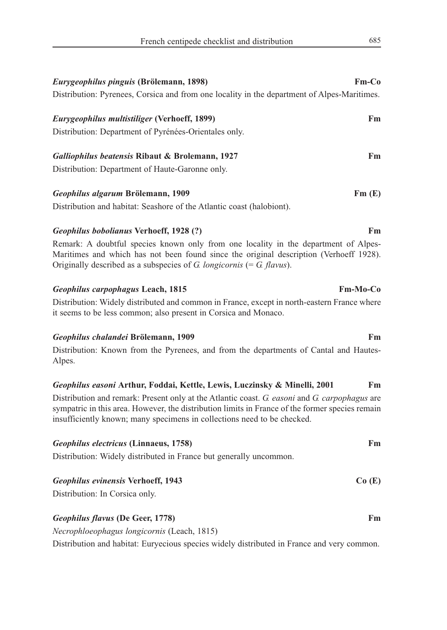| Eurygeophilus pinguis (Brölemann, 1898)                                                                                                                                                                                                                                     | Fm-Co |
|-----------------------------------------------------------------------------------------------------------------------------------------------------------------------------------------------------------------------------------------------------------------------------|-------|
| Distribution: Pyrenees, Corsica and from one locality in the department of Alpes-Maritimes.                                                                                                                                                                                 |       |
| Eurygeophilus multistiliger (Verhoeff, 1899)                                                                                                                                                                                                                                | Fm    |
| Distribution: Department of Pyrénées-Orientales only.                                                                                                                                                                                                                       |       |
| Galliophilus beatensis Ribaut & Brolemann, 1927                                                                                                                                                                                                                             | Fm    |
| Distribution: Department of Haute-Garonne only.                                                                                                                                                                                                                             |       |
| Geophilus algarum Brölemann, 1909                                                                                                                                                                                                                                           | Fm(E) |
| Distribution and habitat: Seashore of the Atlantic coast (halobiont).                                                                                                                                                                                                       |       |
| Geophilus bobolianus Verhoeff, 1928 (?)                                                                                                                                                                                                                                     | Fm    |
| Remark: A doubtful species known only from one locality in the department of Alpes-<br>Maritimes and which has not been found since the original description (Verhoeff 1928).<br>Originally described as a subspecies of G. longicornis (= G. flavus).                      |       |
|                                                                                                                                                                                                                                                                             |       |
| Fm-Mo-Co<br>Geophilus carpophagus Leach, 1815                                                                                                                                                                                                                               |       |
| Distribution: Widely distributed and common in France, except in north-eastern France where<br>it seems to be less common; also present in Corsica and Monaco.                                                                                                              |       |
| Geophilus chalandei Brölemann, 1909                                                                                                                                                                                                                                         | Fm    |
| Distribution: Known from the Pyrenees, and from the departments of Cantal and Hautes-<br>Alpes.                                                                                                                                                                             |       |
| Geophilus easoni Arthur, Foddai, Kettle, Lewis, Luczinsky & Minelli, 2001                                                                                                                                                                                                   | Fm    |
| Distribution and remark: Present only at the Atlantic coast. G. easoni and G. carpophagus are<br>sympatric in this area. However, the distribution limits in France of the former species remain<br>insufficiently known; many specimens in collections need to be checked. |       |
| Geophilus electricus (Linnaeus, 1758)<br>Distribution: Widely distributed in France but generally uncommon.                                                                                                                                                                 | Fm    |

| <b>Geophilus evinensis Verhoeff, 1943</b> | Co(E) |
|-------------------------------------------|-------|
|-------------------------------------------|-------|

Distribution: In Corsica only.

# *Geophilus flavus* **(De Geer, 1778) Fm**

*Necrophloeophagus longicornis* (Leach, 1815)

Distribution and habitat: Euryecious species widely distributed in France and very common.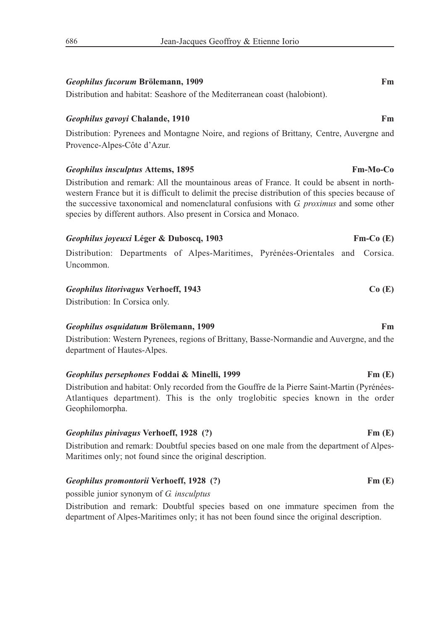# *Geophilus fucorum* **Brölemann, 1909 Fm**

Distribution and habitat: Seashore of the Mediterranean coast (halobiont).

### *Geophilus gavoyi* Chalande, 1910 **Fm Fm Fm Fm Fm Fm**

Distribution: Pyrenees and Montagne Noire, and regions of Brittany, Centre, Auvergne and Provence-Alpes-Côte d'Azur.

## *Geophilus insculptus* **Attems, 1895 Fm-Mo-Co**

Distribution and remark: All the mountainous areas of France. It could be absent in northwestern France but it is difficult to delimit the precise distribution of this species because of the successive taxonomical and nomenclatural confusions with *G. proximus* and some other species by different authors. Also present in Corsica and Monaco.

# *Geophilus joyeuxi* Léger & Duboscq, 1903 Fm-Co (E)

Distribution: Departments of Alpes-Maritimes, Pyrénées-Orientales and Corsica. Uncommon.

### *Geophilus litorivagus* **Verhoeff, 1943 Co (E)**

Distribution: In Corsica only.

### *Geophilus osquidatum* **Brölemann, 1909 Fm**

Distribution: Western Pyrenees, regions of Brittany, Basse-Normandie and Auvergne, and the department of Hautes-Alpes.

# *Geophilus persephones* **Foddai & Minelli, 1999 Fm (E)**

Distribution and habitat: Only recorded from the Gouffre de la Pierre Saint-Martin (Pyrénées-Atlantiques department). This is the only troglobitic species known in the order Geophilomorpha.

### *Geophilus pinivagus* **Verhoeff, 1928 (?) Fm (E)**

Distribution and remark: Doubtful species based on one male from the department of Alpes-Maritimes only; not found since the original description.

### *Geophilus promontorii* **Verhoeff, 1928 (?) Fm (E)**

possible junior synonym of *G. insculptus*

Distribution and remark: Doubtful species based on one immature specimen from the department of Alpes-Maritimes only; it has not been found since the original description.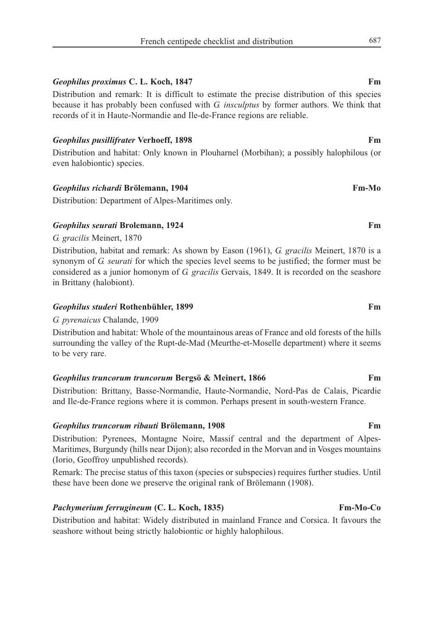### *Geophilus proximus* **C. L. Koch, 1847** Fm

Distribution and remark: It is difficult to estimate the precise distribution of this species because it has probably been confused with *G. insculptus* by former authors. We think that records of it in Haute-Normandie and Ile-de-France regions are reliable.

#### *Geophilus pusillifrater Verhoeff, 1898* Fm

Distribution and habitat: Only known in Plouharnel (Morbihan); a possibly halophilous (or even halobiontic) species.

### *Geophilus richardi* **Brölemann, 1904 Fm-Mo**

Distribution: Department of Alpes-Maritimes only.

### *Geophilus seurati* **Brolemann, 1924 Fm**

*G. gracilis* Meinert, 1870

Distribution, habitat and remark: As shown by Eason (1961), *G. gracilis* Meinert, 1870 is a synonym of *G. seurati* for which the species level seems to be justified; the former must be considered as a junior homonym of *G. gracilis* Gervais, 1849. It is recorded on the seashore in Brittany (halobiont).

### *Geophilus studeri* **Rothenbühler, 1899 Fm**

*G. pyrenaicus* Chalande, 1909

Distribution and habitat: Whole of the mountainous areas of France and old forests of the hills surrounding the valley of the Rupt-de-Mad (Meurthe-et-Moselle department) where it seems to be very rare.

#### *Geophilus truncorum truncorum* **Bergsö & Meinert, 1866 Fm**

Distribution: Brittany, Basse-Normandie, Haute-Normandie, Nord-Pas de Calais, Picardie and Ile-de-France regions where it is common. Perhaps present in south-western France.

#### *Geophilus truncorum ribauti* **Brölemann, 1908 Fm**

Distribution: Pyrenees, Montagne Noire, Massif central and the department of Alpes-Maritimes, Burgundy (hills near Dijon); also recorded in the Morvan and in Vosges mountains (Iorio, Geoffroy unpublished records).

Remark: The precise status of this taxon (species or subspecies) requires further studies. Until these have been done we preserve the original rank of Brölemann (1908).

### *Pachymerium ferrugineum* **(C. L. Koch, 1835) Fm-Mo-Co**

Distribution and habitat: Widely distributed in mainland France and Corsica. It favours the seashore without being strictly halobiontic or highly halophilous.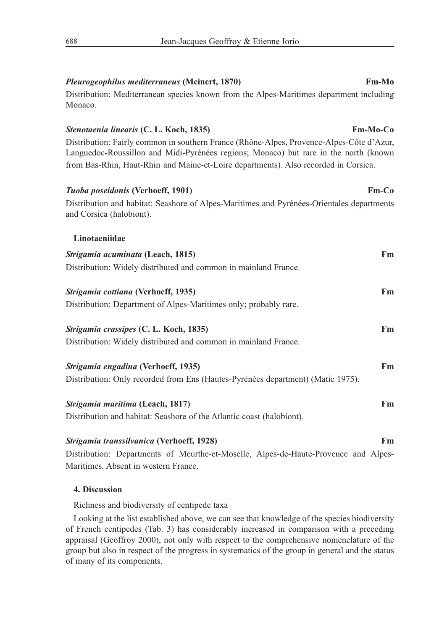# Distribution: Mediterranean species known from the Alpes-Maritimes department including Monaco. *Stenotaenia linearis* **(C. L. Koch, 1835) Fm-Mo-Co** Distribution: Fairly common in southern France (Rhône-Alpes, Provence-Alpes-Côte d'Azur, Languedoc-Roussillon and Midi-Pyrénées regions; Monaco) but rare in the north (known from Bas-Rhin, Haut-Rhin and Maine-et-Loire departments). Also recorded in Corsica. *Tuoba poseidonis* **(Verhoeff, 1901) Fm-Co** Distribution and habitat: Seashore of Alpes-Maritimes and Pyrénées-Orientales departments and Corsica (halobiont). **Linotaeniidae** *Strigamia acuminata* **(Leach, 1815) Fm** Distribution: Widely distributed and common in mainland France. *Strigamia cottiana* **(Verhoeff, 1935) Fm** Distribution: Department of Alpes-Maritimes only; probably rare. *Strigamia crassipes* **(C. L. Koch, 1835) Fm** Distribution: Widely distributed and common in mainland France. *Strigamia engadina* **(Verhoeff, 1935) Fm** Distribution: Only recorded from Ens (Hautes-Pyrénées department) (Matic 1975). *Strigamia maritima* **(Leach, 1817) Fm**

Distribution and habitat: Seashore of the Atlantic coast (halobiont).

# *Strigamia transsilvanica* **(Verhoeff, 1928) Fm** Distribution: Departments of Meurthe-et-Moselle, Alpes-de-Haute-Provence and Alpes-

Maritimes. Absent in western France.

# **4. Discussion**

Richness and biodiversity of centipede taxa

Looking at the list established above, we can see that knowledge of the species biodiversity of French centipedes (Tab. 3) has considerably increased in comparison with a preceding appraisal (Geoffroy 2000), not only with respect to the comprehensive nomenclature of the group but also in respect of the progress in systematics of the group in general and the status of many of its components.

### *Pleurogeophilus mediterraneus* **(Meinert, 1870) Fm-Mo**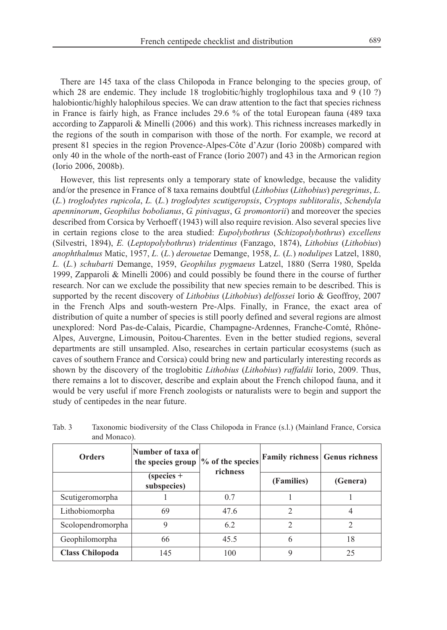There are 145 taxa of the class Chilopoda in France belonging to the species group, of which 28 are endemic. They include 18 troglobitic/highly troglophilous taxa and 9 (10 ?) halobiontic/highly halophilous species. We can draw attention to the fact that species richness in France is fairly high, as France includes 29.6 % of the total European fauna (489 taxa according to Zapparoli & Minelli (2006) and this work). This richness increases markedly in the regions of the south in comparison with those of the north. For example, we record at present 81 species in the region Provence-Alpes-Côte d'Azur (Iorio 2008b) compared with

only 40 in the whole of the north-east of France (Iorio 2007) and 43 in the Armorican region

(Iorio 2006, 2008b).

However, this list represents only a temporary state of knowledge, because the validity and/or the presence in France of 8 taxa remains doubtful (*Lithobius* (*Lithobius*) *peregrinus*, *L.* (*L.*) *troglodytes rupicola*, *L.* (*L.*) *troglodytes scutigeropsis*, *Cryptops sublitoralis*, *Schendyla apenninorum*, *Geophilus bobolianus*, *G. pinivagus*, *G. promontorii*) and moreover the species described from Corsica by Verhoeff (1943) will also require revision. Also several species live in certain regions close to the area studied: *Eupolybothrus* (*Schizopolybothrus*) *excellens* (Silvestri, 1894), *E.* (*Leptopolybothrus*) *tridentinus* (Fanzago, 1874), *Lithobius* (*Lithobius*) *anophthalmus* Matic, 1957, *L.* (*L.*) *derouetae* Demange, 1958, *L.* (*L.*) *nodulipes* Latzel, 1880, *L.* (*L.*) *schubarti* Demange, 1959, *Geophilus pygmaeus* Latzel, 1880 (Serra 1980, Spelda 1999, Zapparoli & Minelli 2006) and could possibly be found there in the course of further research. Nor can we exclude the possibility that new species remain to be described. This is supported by the recent discovery of *Lithobius* (*Lithobius*) *delfossei* Iorio & Geoffroy, 2007 in the French Alps and south-western Pre-Alps. Finally, in France, the exact area of distribution of quite a number of species is still poorly defined and several regions are almost unexplored: Nord Pas-de-Calais, Picardie, Champagne-Ardennes, Franche-Comté, Rhône-Alpes, Auvergne, Limousin, Poitou-Charentes. Even in the better studied regions, several departments are still unsampled. Also, researches in certain particular ecosystems (such as caves of southern France and Corsica) could bring new and particularly interesting records as shown by the discovery of the troglobitic *Lithobius* (*Lithobius*) *raffaldii* Iorio, 2009. Thus, there remains a lot to discover, describe and explain about the French chilopod fauna, and it would be very useful if more French zoologists or naturalists were to begin and support the study of centipedes in the near future.

| <b>Orders</b>          | Number of taxa of<br>the species group | $\%$ of the species<br>richness |            | <b>Family richness</b> Genus richness |
|------------------------|----------------------------------------|---------------------------------|------------|---------------------------------------|
|                        | $(species +$<br>subspecies)            |                                 | (Families) | (Genera)                              |
| Scutigeromorpha        |                                        | 0.7                             |            |                                       |
| Lithobiomorpha         | 69                                     | 47.6                            | 2          |                                       |
| Scolopendromorpha      | 9                                      | 6.2                             | 2          | 2                                     |
| Geophilomorpha         | 66                                     | 45.5                            | 6          | 18                                    |
| <b>Class Chilopoda</b> | 145                                    | 100                             | Q          | 25                                    |

Tab. 3 Taxonomic biodiversity of the Class Chilopoda in France (s.l.) (Mainland France, Corsica and Monaco).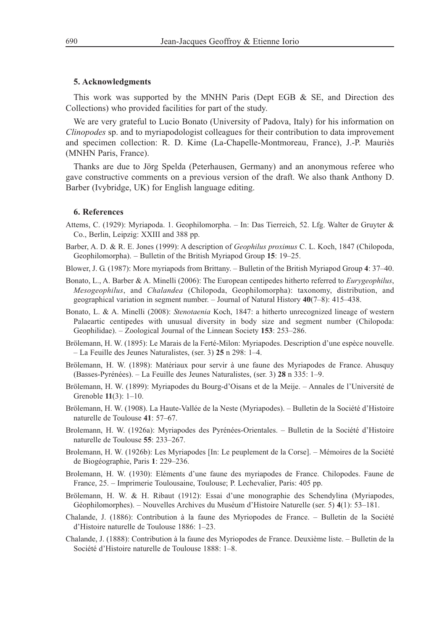#### **5. Acknowledgments**

This work was supported by the MNHN Paris (Dept EGB  $\&$  SE, and Direction des Collections) who provided facilities for part of the study.

We are very grateful to Lucio Bonato (University of Padova, Italy) for his information on *Clinopodes* sp. and to myriapodologist colleagues for their contribution to data improvement and specimen collection: R. D. Kime (La-Chapelle-Montmoreau, France), J.-P. Mauriès (MNHN Paris, France).

Thanks are due to Jörg Spelda (Peterhausen, Germany) and an anonymous referee who gave constructive comments on a previous version of the draft. We also thank Anthony D. Barber (Ivybridge, UK) for English language editing.

#### **6. References**

- Attems, C. (1929): Myriapoda. 1. Geophilomorpha. In: Das Tierreich, 52. Lfg. Walter de Gruyter & Co., Berlin, Leipzig: XXIII and 388 pp.
- Barber, A. D. & R. E. Jones (1999): A description of *Geophilus proximus* C. L. Koch, 1847 (Chilopoda, Geophilomorpha). – Bulletin of the British Myriapod Group **15**: 19–25.
- Blower, J. G. (1987): More myriapods from Brittany. Bulletin of the British Myriapod Group **4**: 37–40.
- Bonato, L., A. Barber & A. Minelli (2006): The European centipedes hitherto referred to *Eurygeophilus*, *Mesogeophilus*, and *Chalandea* (Chilopoda, Geophilomorpha): taxonomy, distribution, and geographical variation in segment number. – Journal of Natural History **40**(7–8): 415–438.
- Bonato, L. & A. Minelli (2008): *Stenotaenia* Koch, 1847: a hitherto unrecognized lineage of western Palaeartic centipedes with unusual diversity in body size and segment number (Chilopoda: Geophilidae). – Zoological Journal of the Linnean Society **153**: 253–286.
- Brölemann, H. W. (1895): Le Marais de la Ferté-Milon: Myriapodes. Description d'une espèce nouvelle. – La Feuille des Jeunes Naturalistes, (ser. 3) **25** n 298: 1–4.
- Brölemann, H. W. (1898): Matériaux pour servir à une faune des Myriapodes de France. Ahusquy (Basses-Pyrénées). – La Feuille des Jeunes Naturalistes, (ser. 3) **28** n 335: 1–9.
- Brölemann, H. W. (1899): Myriapodes du Bourg-d'Oisans et de la Meije. Annales de l'Université de Grenoble **11**(3): 1–10.
- Brölemann, H. W. (1908). La Haute-Vallée de la Neste (Myriapodes). Bulletin de la Société d'Histoire naturelle de Toulouse **41**: 57–67.
- Brolemann, H. W. (1926a): Myriapodes des Pyrénées-Orientales. Bulletin de la Société d'Histoire naturelle de Toulouse **55**: 233–267.
- Brolemann, H. W. (1926b): Les Myriapodes [In: Le peuplement de la Corse]. Mémoires de la Société de Biogéographie, Paris **1**: 229–236.
- Brolemann, H. W. (1930): Eléments d'une faune des myriapodes de France. Chilopodes. Faune de France, 25. – Imprimerie Toulousaine, Toulouse; P. Lechevalier, Paris: 405 pp.
- Brölemann, H. W. & H. Ribaut (1912): Essai d'une monographie des Schendylina (Myriapodes, Géophilomorphes). – Nouvelles Archives du Muséum d'Histoire Naturelle (ser. 5) **4**(1): 53–181.
- Chalande, J. (1886): Contribution à la faune des Myriopodes de France. Bulletin de la Société d'Histoire naturelle de Toulouse 1886: 1–23.
- Chalande, J. (1888): Contribution à la faune des Myriopodes de France. Deuxième liste. Bulletin de la Société d'Histoire naturelle de Toulouse 1888: 1–8.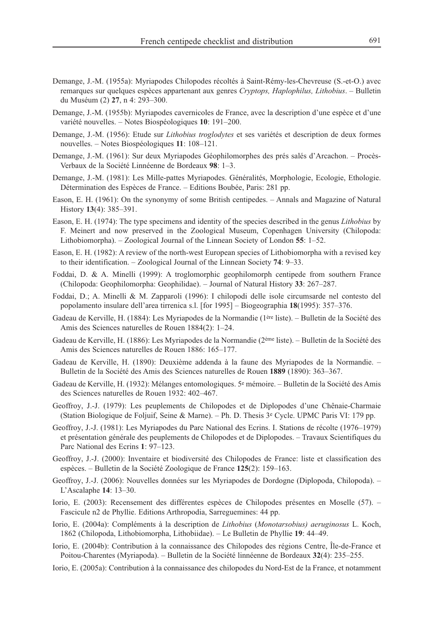- Demange, J.-M. (1955a): Myriapodes Chilopodes récoltés à Saint-Rémy-les-Chevreuse (S.-et-O.) avec remarques sur quelques espèces appartenant aux genres *Cryptops, Haplophilus, Lithobius*. – Bulletin du Muséum (2) **27**, n 4: 293–300.
- Demange, J.-M. (1955b): Myriapodes cavernicoles de France, avec la description d'une espèce et d'une variété nouvelles. – Notes Biospéologiques **10**: 191–200.
- Demange, J.-M. (1956): Etude sur *Lithobius troglodytes* et ses variétés et description de deux formes nouvelles. – Notes Biospéologiques **11**: 108–121.
- Demange, J.-M. (1961): Sur deux Myriapodes Géophilomorphes des prés salés d'Arcachon. Procès-Verbaux de la Société Linnéenne de Bordeaux **98**: 1–3.
- Demange, J.-M. (1981): Les Mille-pattes Myriapodes. Généralités, Morphologie, Ecologie, Ethologie. Détermination des Espèces de France. – Editions Boubée, Paris: 281 pp.
- Eason, E. H. (1961): On the synonymy of some British centipedes. Annals and Magazine of Natural History **13**(4): 385–391.
- Eason, E. H. (1974): The type specimens and identity of the species described in the genus *Lithobius* by F. Meinert and now preserved in the Zoological Museum, Copenhagen University (Chilopoda: Lithobiomorpha). – Zoological Journal of the Linnean Society of London **55**: 1–52.
- Eason, E. H. (1982): A review of the north-west European species of Lithobiomorpha with a revised key to their identification. – Zoological Journal of the Linnean Society **74**: 9–33.
- Foddai, D. & A. Minelli (1999): A troglomorphic geophilomorph centipede from southern France (Chilopoda: Geophilomorpha: Geophilidae). – Journal of Natural History **33**: 267–287.
- Foddai, D.; A. Minelli & M. Zapparoli (1996): I chilopodi delle isole circumsarde nel contesto del popolamento insulare dell'area tirrenica s.l. [for 1995] – Biogeographia **18**(1995): 357–376.
- Gadeau de Kerville, H. (1884): Les Myriapodes de la Normandie (1ère liste). Bulletin de la Société des Amis des Sciences naturelles de Rouen 1884(2): 1–24.
- Gadeau de Kerville, H. (1886): Les Myriapodes de la Normandie (2ème liste). Bulletin de la Société des Amis des Sciences naturelles de Rouen 1886: 165–177.
- Gadeau de Kerville, H. (1890): Deuxième addenda à la faune des Myriapodes de la Normandie. Bulletin de la Société des Amis des Sciences naturelles de Rouen **1889** (1890): 363–367.
- Gadeau de Kerville, H. (1932): Mélanges entomologiques. 5e mémoire. Bulletin de la Société des Amis des Sciences naturelles de Rouen 1932: 402–467.
- Geoffroy, J.-J. (1979): Les peuplements de Chilopodes et de Diplopodes d'une Chênaie-Charmaie (Station Biologique de Foljuif, Seine & Marne). – Ph. D. Thesis 3e Cycle. UPMC Paris VI: 179 pp.
- Geoffroy, J.-J. (1981): Les Myriapodes du Parc National des Ecrins. I. Stations de récolte (1976–1979) et présentation générale des peuplements de Chilopodes et de Diplopodes. – Travaux Scientifiques du Parc National des Ecrins **1**: 97–123.
- Geoffroy, J.-J. (2000): Inventaire et biodiversité des Chilopodes de France: liste et classification des espèces. – Bulletin de la Société Zoologique de France **125**(2): 159–163.
- Geoffroy, J.-J. (2006): Nouvelles données sur les Myriapodes de Dordogne (Diplopoda, Chilopoda). L'Ascalaphe **14**: 13–30.
- Iorio, E. (2003): Recensement des différentes espèces de Chilopodes présentes en Moselle (57). Fascicule n2 de Phyllie. Editions Arthropodia, Sarreguemines: 44 pp.
- Iorio, E. (2004a): Compléments à la description de *Lithobius* (*Monotarsobius) aeruginosus* L. Koch, 1862 (Chilopoda, Lithobiomorpha, Lithobiidae). – Le Bulletin de Phyllie **19**: 44–49.
- Iorio, E. (2004b): Contribution à la connaissance des Chilopodes des régions Centre, Île-de-France et Poitou-Charentes (Myriapoda). – Bulletin de la Société linnéenne de Bordeaux **32**(4): 235–255.
- Iorio, E. (2005a): Contribution à la connaissance des chilopodes du Nord-Est de la France, et notamment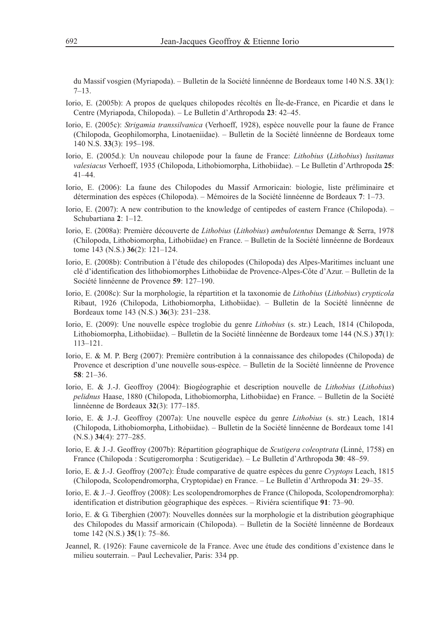du Massif vosgien (Myriapoda). – Bulletin de la Société linnéenne de Bordeaux tome 140 N.S. **33**(1): 7–13.

- Iorio, E. (2005b): A propos de quelques chilopodes récoltés en Île-de-France, en Picardie et dans le Centre (Myriapoda, Chilopoda). – Le Bulletin d'Arthropoda **23**: 42–45.
- Iorio, E. (2005c): *Strigamia transsilvanica* (Verhoeff, 1928), espèce nouvelle pour la faune de France (Chilopoda, Geophilomorpha, Linotaeniidae). – Bulletin de la Société linnéenne de Bordeaux tome 140 N.S. **33**(3): 195–198.
- Iorio, E. (2005d.): Un nouveau chilopode pour la faune de France: *Lithobius* (*Lithobius*) *lusitanus valesiacus* Verhoeff, 1935 (Chilopoda, Lithobiomorpha, Lithobiidae). – Le Bulletin d'Arthropoda **25**: 41–44.
- Iorio, E. (2006): La faune des Chilopodes du Massif Armoricain: biologie, liste préliminaire et détermination des espèces (Chilopoda). – Mémoires de la Société linnéenne de Bordeaux **7**: 1–73.
- Iorio, E. (2007): A new contribution to the knowledge of centipedes of eastern France (Chilopoda). Schubartiana **2**: 1–12.
- Iorio, E. (2008a): Première découverte de *Lithobius* (*Lithobius*) *ambulotentus* Demange & Serra, 1978 (Chilopoda, Lithobiomorpha, Lithobiidae) en France. – Bulletin de la Société linnéenne de Bordeaux tome 143 (N.S.) **36**(2): 121–124.
- Iorio, E. (2008b): Contribution à l'étude des chilopodes (Chilopoda) des Alpes-Maritimes incluant une clé d'identification des lithobiomorphes Lithobiidae de Provence-Alpes-Côte d'Azur. – Bulletin de la Société linnéenne de Provence **59**: 127–190.
- Iorio, E. (2008c): Sur la morphologie, la répartition et la taxonomie de *Lithobius* (*Lithobius*) *crypticola* Ribaut, 1926 (Chilopoda, Lithobiomorpha, Lithobiidae). – Bulletin de la Société linnéenne de Bordeaux tome 143 (N.S.) **36**(3): 231–238.
- Iorio, E. (2009): Une nouvelle espèce troglobie du genre *Lithobius* (s. str.) Leach, 1814 (Chilopoda, Lithobiomorpha, Lithobiidae). – Bulletin de la Société linnéenne de Bordeaux tome 144 (N.S.) **37**(1): 113–121.
- Iorio, E. & M. P. Berg (2007): Première contribution à la connaissance des chilopodes (Chilopoda) de Provence et description d'une nouvelle sous-espèce. – Bulletin de la Société linnéenne de Provence **58**: 21–36.
- Iorio, E. & J.-J. Geoffroy (2004): Biogéographie et description nouvelle de *Lithobius* (*Lithobius*) *pelidnus* Haase, 1880 (Chilopoda, Lithobiomorpha, Lithobiidae) en France. – Bulletin de la Société linnéenne de Bordeaux **32**(3): 177–185.
- Iorio, E. & J.-J. Geoffroy (2007a): Une nouvelle espèce du genre *Lithobius* (s. str.) Leach, 1814 (Chilopoda, Lithobiomorpha, Lithobiidae). – Bulletin de la Société linnéenne de Bordeaux tome 141 (N.S.) **34**(4): 277–285.
- Iorio, E. & J.-J. Geoffroy (2007b): Répartition géographique de *Scutigera coleoptrata* (Linné, 1758) en France (Chilopoda : Scutigeromorpha : Scutigeridae). – Le Bulletin d'Arthropoda **30**: 48–59.
- Iorio, E. & J.-J. Geoffroy (2007c): Étude comparative de quatre espèces du genre *Cryptops* Leach, 1815 (Chilopoda, Scolopendromorpha, Cryptopidae) en France. – Le Bulletin d'Arthropoda **31**: 29–35.
- Iorio, E. & J.–J. Geoffroy (2008): Les scolopendromorphes de France (Chilopoda, Scolopendromorpha): identification et distribution géographique des espèces. – Riviéra scientifique **91**: 73–90.
- Iorio, E. & G. Tiberghien (2007): Nouvelles données sur la morphologie et la distribution géographique des Chilopodes du Massif armoricain (Chilopoda). – Bulletin de la Société linnéenne de Bordeaux tome 142 (N.S.) **35**(1): 75–86.
- Jeannel, R. (1926): Faune cavernicole de la France. Avec une étude des conditions d'existence dans le milieu souterrain. – Paul Lechevalier, Paris: 334 pp.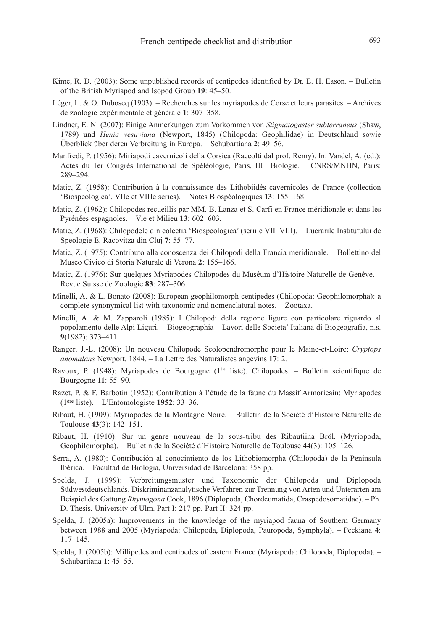- Kime, R. D. (2003): Some unpublished records of centipedes identified by Dr. E. H. Eason. Bulletin of the British Myriapod and Isopod Group **19**: 45–50.
- Léger, L. & O. Duboscq (1903). Recherches sur les myriapodes de Corse et leurs parasites. Archives de zoologie expérimentale et générale **1**: 307–358.
- Lindner, E. N. (2007): Einige Anmerkungen zum Vorkommen von *Stigmatogaster subterraneus* (Shaw, 1789) und *Henia vesuviana* (Newport, 1845) (Chilopoda: Geophilidae) in Deutschland sowie Überblick über deren Verbreitung in Europa. – Schubartiana **2**: 49–56.
- Manfredi, P. (1956): Miriapodi cavernicoli della Corsica (Raccolti dal prof. Remy). In: Vandel, A. (ed.): Actes du 1er Congrès International de Spéléologie, Paris, III– Biologie. – CNRS/MNHN, Paris: 289–294.
- Matic, Z. (1958): Contribution à la connaissance des Lithobiidés cavernicoles de France (collection 'Biospeologica', VIIe et VIIIe séries). – Notes Biospéologiques **13**: 155–168.
- Matic, Z. (1962): Chilopodes recueillis par MM. B. Lanza et S. Carfi en France méridionale et dans les Pyrénées espagnoles. – Vie et Milieu **13**: 602–603.
- Matic, Z. (1968): Chilopodele din colectia 'Biospeologica' (seriile VII–VIII). Lucrarile Institutului de Speologie E. Racovitza din Cluj **7**: 55–77.
- Matic, Z. (1975): Contributo alla conoscenza dei Chilopodi della Francia meridionale. Bollettino del Museo Civico di Storia Naturale di Verona **2**: 155–166.
- Matic, Z. (1976): Sur quelques Myriapodes Chilopodes du Muséum d'Histoire Naturelle de Genève. Revue Suisse de Zoologie **83**: 287–306.
- Minelli, A. & L. Bonato (2008): European geophilomorph centipedes (Chilopoda: Geophilomorpha): a complete synonymical list with taxonomic and nomenclatural notes. – Zootaxa.
- Minelli, A. & M. Zapparoli (1985): I Chilopodi della regione ligure con particolare riguardo al popolamento delle Alpi Liguri. – Biogeographia – Lavori delle Societa' Italiana di Biogeografia, n.s. **9**(1982): 373–411.
- Ranger, J.-L. (2008): Un nouveau Chilopode Scolopendromorphe pour le Maine-et-Loire: *Cryptops anomalans* Newport, 1844. – La Lettre des Naturalistes angevins **17**: 2.
- Ravoux, P. (1948): Myriapodes de Bourgogne (1ère liste). Chilopodes. Bulletin scientifique de Bourgogne **11**: 55–90.
- Razet, P. & F. Barbotin (1952): Contribution à l'étude de la faune du Massif Armoricain: Myriapodes (1ère liste). – L'Entomologiste **1952**: 33–36.
- Ribaut, H. (1909): Myriopodes de la Montagne Noire. Bulletin de la Société d'Histoire Naturelle de Toulouse **43**(3): 142–151.
- Ribaut, H. (1910): Sur un genre nouveau de la sous-tribu des Ribautiina Bröl. (Myriopoda, Geophilomorpha). – Bulletin de la Société d'Histoire Naturelle de Toulouse **44**(3): 105–126.
- Serra, A. (1980): Contribución al conocimiento de los Lithobiomorpha (Chilopoda) de la Peninsula Ibérica. – Facultad de Biologia, Universidad de Barcelona: 358 pp.
- Spelda, J. (1999): Verbreitungsmuster und Taxonomie der Chilopoda und Diplopoda Südwestdeutschlands. Diskriminanzanalytische Verfahren zur Trennung von Arten und Unterarten am Beispiel des Gattung *Rhymogona* Cook, 1896 (Diplopoda, Chordeumatida, Craspedosomatidae). – Ph. D. Thesis, University of Ulm. Part I: 217 pp. Part II: 324 pp.
- Spelda, J. (2005a): Improvements in the knowledge of the myriapod fauna of Southern Germany between 1988 and 2005 (Myriapoda: Chilopoda, Diplopoda, Pauropoda, Symphyla). – Peckiana **4**: 117–145.
- Spelda, J. (2005b): Millipedes and centipedes of eastern France (Myriapoda: Chilopoda, Diplopoda). Schubartiana **1**: 45–55.